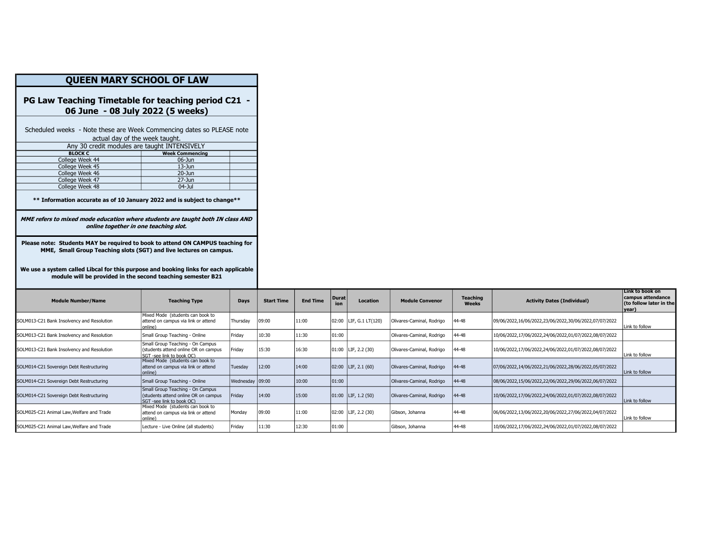| <b>QUEEN MARY SCHOOL OF LAW</b>                                                                                                                                                                                                                                                                             |                                                                                    |          |              |  |  |  |  |  |  |  |
|-------------------------------------------------------------------------------------------------------------------------------------------------------------------------------------------------------------------------------------------------------------------------------------------------------------|------------------------------------------------------------------------------------|----------|--------------|--|--|--|--|--|--|--|
| PG Law Teaching Timetable for teaching period C21<br>06 June - 08 July 2022 (5 weeks)                                                                                                                                                                                                                       |                                                                                    |          |              |  |  |  |  |  |  |  |
| Scheduled weeks - Note these are Week Commencing dates so PLEASE note<br>actual day of the week taught.                                                                                                                                                                                                     |                                                                                    |          |              |  |  |  |  |  |  |  |
|                                                                                                                                                                                                                                                                                                             | Any 30 credit modules are taught INTENSIVELY                                       |          |              |  |  |  |  |  |  |  |
| <b>BLOCK C</b>                                                                                                                                                                                                                                                                                              | <b>Week Commencing</b>                                                             |          |              |  |  |  |  |  |  |  |
| College Week 44                                                                                                                                                                                                                                                                                             | $06-$ Jun                                                                          |          |              |  |  |  |  |  |  |  |
| College Week 45                                                                                                                                                                                                                                                                                             | $13 - Jun$                                                                         |          |              |  |  |  |  |  |  |  |
| College Week 46                                                                                                                                                                                                                                                                                             | $20 - Jun$                                                                         |          |              |  |  |  |  |  |  |  |
| College Week 47                                                                                                                                                                                                                                                                                             | $27 - Jun$                                                                         |          |              |  |  |  |  |  |  |  |
| College Week 48                                                                                                                                                                                                                                                                                             | $04 -$ Jul                                                                         |          |              |  |  |  |  |  |  |  |
| MME refers to mixed mode education where students are taught both IN class AND<br>online together in one teaching slot.                                                                                                                                                                                     |                                                                                    |          |              |  |  |  |  |  |  |  |
| Please note: Students MAY be required to book to attend ON CAMPUS teaching for<br>MME, Small Group Teaching slots (SGT) and live lectures on campus.<br>We use a system called Libcal for this purpose and booking links for each applicable<br>module will be provided in the second teaching semester B21 |                                                                                    |          |              |  |  |  |  |  |  |  |
| <b>Module Number/Name</b>                                                                                                                                                                                                                                                                                   | <b>Teaching Type</b>                                                               | Days     | $\mathbf{S}$ |  |  |  |  |  |  |  |
| SOLM013-C21 Bank Insolvency and Resolution                                                                                                                                                                                                                                                                  | Mixed Mode (students can book to<br>attend on campus via link or attend<br>online) | Thursday | 09:0         |  |  |  |  |  |  |  |
| SOLM013-C21 Bank Insolvency and Resolution                                                                                                                                                                                                                                                                  | Small Group Teaching - Online                                                      | Friday   | 10:3         |  |  |  |  |  |  |  |

| <b>Module Number/Name</b>                  | <b>Teaching Type</b>                                                                                  | Days            | <b>Start Time</b> | <b>End Time</b> | Durat<br>ion | <b>Location</b>          | <b>Module Convenor</b>    | <b>Teaching</b><br>Weeks | <b>Activity Dates (Individual)</b>                     | Link to book on<br>campus attendance<br>(to follow later in the<br>year) |
|--------------------------------------------|-------------------------------------------------------------------------------------------------------|-----------------|-------------------|-----------------|--------------|--------------------------|---------------------------|--------------------------|--------------------------------------------------------|--------------------------------------------------------------------------|
| SOLM013-C21 Bank Insolvency and Resolution | Mixed Mode (students can book to<br>attend on campus via link or attend<br>online)                    | Thursday        | 109:00            | 11:00           |              | 02:00   LIF, G.1 LT(120) | Olivares-Caminal, Rodrigo | 44-48                    | 09/06/2022,16/06/2022,23/06/2022,30/06/2022,07/07/2022 | Link to follow                                                           |
| SOLM013-C21 Bank Insolvency and Resolution | Small Group Teaching - Online                                                                         | Friday          | 10:30             | 11:30           | 01:00        |                          | Olivares-Caminal, Rodrigo | 44-48                    | 10/06/2022,17/06/2022,24/06/2022,01/07/2022,08/07/2022 |                                                                          |
| SOLM013-C21 Bank Insolvency and Resolution | Small Group Teaching - On Campus<br>(students attend online OR on campus<br>SGT -see link to book OC) | Fridav          | 15:30             | 16:30           |              | $ 01:00 $ LIF, 2.2 (30)  | Olivares-Caminal, Rodrigo | 44-48                    | 10/06/2022,17/06/2022,24/06/2022,01/07/2022,08/07/2022 | Link to follow                                                           |
| SOLM014-C21 Sovereign Debt Restructuring   | Mixed Mode (students can book to<br>attend on campus via link or attend<br>(online                    | Tuesday         | 12:00             | 14:00           |              | $ 02:00 $ LIF, 2.1 (60)  | Olivares-Caminal, Rodrigo | $144 - 48$               | 07/06/2022,14/06/2022,21/06/2022,28/06/2022,05/07/2022 | Link to follow                                                           |
| SOLM014-C21 Sovereign Debt Restructuring   | Small Group Teaching - Online                                                                         | Wednesday 09:00 |                   | 10:00           | 01:00        |                          | Olivares-Caminal, Rodrigo | 44-48                    | 08/06/2022,15/06/2022,22/06/2022,29/06/2022,06/07/2022 |                                                                          |
| SOLM014-C21 Sovereign Debt Restructuring   | Small Group Teaching - On Campus<br>(students attend online OR on campus<br>SGT -see link to book OC) | Fridav          | 14:00             | 15:00           |              | $ 01:00 $ LIF, 1.2 (50)  | Olivares-Caminal, Rodrigo | 44-48                    | 10/06/2022,17/06/2022,24/06/2022,01/07/2022,08/07/2022 | Link to follow                                                           |
| SOLM025-C21 Animal Law.Welfare and Trade   | Mixed Mode (students can book to<br>attend on campus via link or attend<br>online)                    | Mondav          | 109:00            | 11:00           |              | $ 02:00 $ LIF, 2.2 (30)  | Gibson, Johanna           | 44-48                    | 06/06/2022,13/06/2022,20/06/2022,27/06/2022,04/07/2022 | Link to follow                                                           |
| SOLM025-C21 Animal Law.Welfare and Trade   | Lecture - Live Online (all students)                                                                  | Fridav          | 11:30             | 12:30           | 01:00        |                          | Gibson, Johanna           | 44-48                    | 10/06/2022,17/06/2022,24/06/2022,01/07/2022,08/07/2022 |                                                                          |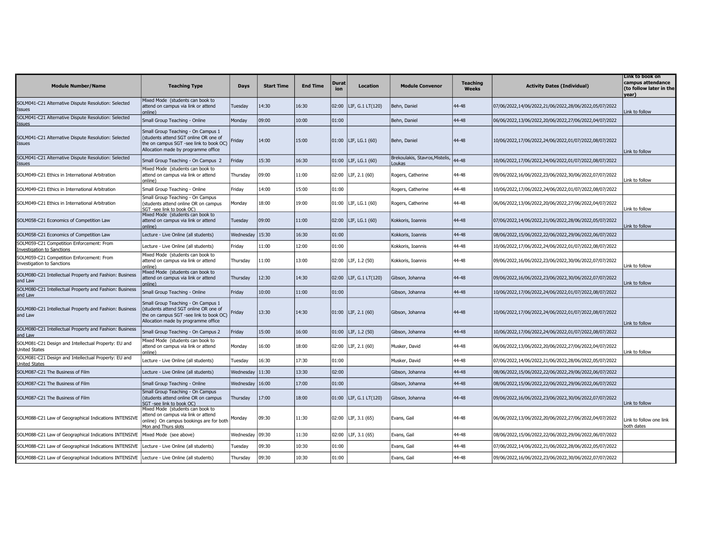| <b>Module Number/Name</b>                                                                  | <b>Teaching Type</b>                                                                                                                                          | <b>Days</b> | <b>Start Time</b> | <b>End Time</b> | Durat<br>ion | <b>Location</b>          | <b>Module Convenor</b>                   | <b>Teaching</b><br><b>Weeks</b> | <b>Activity Dates (Individual)</b>                     | Link to book on<br>campus attendance<br>(to follow later in the<br>year) |
|--------------------------------------------------------------------------------------------|---------------------------------------------------------------------------------------------------------------------------------------------------------------|-------------|-------------------|-----------------|--------------|--------------------------|------------------------------------------|---------------------------------|--------------------------------------------------------|--------------------------------------------------------------------------|
| SOLM041-C21 Alternative Dispute Resolution: Selected<br><b>Issues</b>                      | Mixed Mode (students can book to<br>attend on campus via link or attend<br>online)                                                                            | Tuesday     | 14:30             | 16:30           |              | 02:00   LIF, G.1 LT(120) | Behn, Daniel                             | 44-48                           | 07/06/2022,14/06/2022,21/06/2022,28/06/2022,05/07/2022 | Link to follow                                                           |
| SOLM041-C21 Alternative Dispute Resolution: Selected<br><b>Issues</b>                      | Small Group Teaching - Online                                                                                                                                 | Monday      | 09:00             | 10:00           | 01:00        |                          | Behn, Daniel                             | 44-48                           | 06/06/2022,13/06/2022,20/06/2022,27/06/2022,04/07/2022 |                                                                          |
| SOLM041-C21 Alternative Dispute Resolution: Selected<br><b>Issues</b>                      | Small Group Teaching - On Campus 1<br>(students attend SGT online OR one of<br>the on campus SGT -see link to book OC)<br>Allocation made by programme office | Friday      | 14:00             | 15:00           |              | 01:00   LIF, LG.1 (60)   | Behn, Daniel                             | 44-48                           | 10/06/2022,17/06/2022,24/06/2022,01/07/2022,08/07/2022 | Link to follow                                                           |
| SOLM041-C21 Alternative Dispute Resolution: Selected<br><b>Issues</b>                      | Small Group Teaching - On Campus 2                                                                                                                            | Fridav      | 15:30             | 16:30           |              | 01:00   LIF, LG.1 (60)   | Brekoulakis, Stavros, Mistelis,<br>oukas | $14 - 48$                       | 10/06/2022,17/06/2022,24/06/2022,01/07/2022,08/07/2022 |                                                                          |
| SOLM049-C21 Ethics in International Arbitration                                            | Mixed Mode (students can book to<br>attend on campus via link or attend<br>online)                                                                            | Thursdav    | 09:00             | 11:00           | 02:00        | LIF, 2.1 (60)            | Rogers, Catherine                        | 44-48                           | 09/06/2022,16/06/2022,23/06/2022,30/06/2022,07/07/2022 | Link to follow                                                           |
| SOLM049-C21 Ethics in International Arbitration                                            | Small Group Teaching - Online                                                                                                                                 | Friday      | 14:00             | 15:00           | 01:00        |                          | Rogers, Catherine                        | 44-48                           | 10/06/2022,17/06/2022,24/06/2022,01/07/2022,08/07/2022 |                                                                          |
| SOLM049-C21 Ethics in International Arbitration                                            | Small Group Teaching - On Campus<br>(students attend online OR on campus<br>SGT -see link to book OC)                                                         | Monday      | 18:00             | 19:00           |              | 01:00   LIF, LG.1 (60)   | Rogers, Catherine                        | 44-48                           | 06/06/2022,13/06/2022,20/06/2022,27/06/2022,04/07/2022 | Link to follow                                                           |
| SOLM058-C21 Economics of Competition Law                                                   | Mixed Mode (students can book to<br>attend on campus via link or attend<br>online)                                                                            | Tuesday     | 09:00             | 11:00           |              | 02:00   LIF, LG.1 (60)   | Kokkoris, Ioannis                        | 44-48                           | 07/06/2022,14/06/2022,21/06/2022,28/06/2022,05/07/2022 | Link to follow                                                           |
| SOLM058-C21 Economics of Competition Law                                                   | Lecture - Live Online (all students)                                                                                                                          | Wednesday   | 15:30             | 16:30           | 01:00        |                          | Kokkoris, Ioannis                        | 44-48                           | 08/06/2022,15/06/2022,22/06/2022,29/06/2022,06/07/2022 |                                                                          |
| SOLM059-C21 Competition Enforcement: From<br>Investigation to Sanctions                    | Lecture - Live Online (all students)                                                                                                                          | Friday      | 11:00             | 12:00           | 01:00        |                          | Kokkoris, Ioannis                        | 44-48                           | 10/06/2022,17/06/2022,24/06/2022,01/07/2022,08/07/2022 |                                                                          |
| SOLM059-C21 Competition Enforcement: From<br><b>Investigation to Sanctions</b>             | Mixed Mode (students can book to<br>attend on campus via link or attend<br>online)                                                                            | Thursday    | 11:00             | 13:00           |              | 02:00   LIF, 1.2 (50)    | Kokkoris, Ioannis                        | 44-48                           | 09/06/2022,16/06/2022,23/06/2022,30/06/2022,07/07/2022 | Link to follow                                                           |
| SOLM080-C21 Intellectual Property and Fashion: Business<br>and Law                         | Mixed Mode (students can book to<br>attend on campus via link or attend<br>online)                                                                            | Thursday    | 12:30             | 14:30           |              | 02:00   LIF, G.1 LT(120) | Gibson, Johanna                          | 44-48                           | 09/06/2022,16/06/2022,23/06/2022,30/06/2022,07/07/2022 | Link to follow                                                           |
| SOLM080-C21 Intellectual Property and Fashion: Business<br>and Law                         | Small Group Teaching - Online                                                                                                                                 | Friday      | 10:00             | 11:00           | 01:00        |                          | Gibson, Johanna                          | 44-48                           | 10/06/2022,17/06/2022,24/06/2022,01/07/2022,08/07/2022 |                                                                          |
| SOLM080-C21 Intellectual Property and Fashion: Business<br>and Law                         | Small Group Teaching - On Campus 1<br>(students attend SGT online OR one of<br>the on campus SGT -see link to book OC)<br>Allocation made by programme office | Friday      | 13:30             | 14:30           |              | $01:00$ LIF, 2.1 (60)    | Gibson, Johanna                          | 44-48                           | 10/06/2022,17/06/2022,24/06/2022,01/07/2022,08/07/2022 | Link to follow                                                           |
| SOLM080-C21 Intellectual Property and Fashion: Business<br>and Law                         | Small Group Teaching - On Campus 2                                                                                                                            | Fridav      | 15:00             | 16:00           |              | $01:00$ LIF, 1.2 (50)    | Gibson, Johanna                          | 44-48                           | 10/06/2022,17/06/2022,24/06/2022,01/07/2022,08/07/2022 |                                                                          |
| SOLM081-C21 Design and Intellectual Property: EU and<br><b>United States</b>               | Mixed Mode (students can book to<br>attend on campus via link or attend<br>online)                                                                            | Monday      | 16:00             | 18:00           |              | 02:00   LIF, 2.1 (60)    | Musker, David                            | 44-48                           | 06/06/2022,13/06/2022,20/06/2022,27/06/2022,04/07/2022 | Link to follow                                                           |
| SOLM081-C21 Design and Intellectual Property: EU and<br><b>United States</b>               | Lecture - Live Online (all students)                                                                                                                          | Tuesday     | 16:30             | 17:30           | 01:00        |                          | Musker, David                            | 44-48                           | 07/06/2022,14/06/2022,21/06/2022,28/06/2022,05/07/2022 |                                                                          |
| SOLM087-C21 The Business of Film                                                           | Lecture - Live Online (all students)                                                                                                                          | Wednesday   | 11:30             | 13:30           | 02:00        |                          | Gibson, Johanna                          | 44-48                           | 08/06/2022,15/06/2022,22/06/2022,29/06/2022,06/07/2022 |                                                                          |
| SOLM087-C21 The Business of Film                                                           | Small Group Teaching - Online                                                                                                                                 | Wednesday   | 16:00             | 17:00           | 01:00        |                          | Gibson, Johanna                          | 44-48                           | 08/06/2022,15/06/2022,22/06/2022,29/06/2022,06/07/2022 |                                                                          |
| SOLM087-C21 The Business of Film                                                           | Small Group Teaching - On Campus<br>(students attend online OR on campus<br>SGT -see link to book OC)                                                         | Thursday    | 17:00             | 18:00           |              | 01:00   LIF, G.1 LT(120) | Gibson, Johanna                          | 44-48                           | 09/06/2022,16/06/2022,23/06/2022,30/06/2022,07/07/2022 | Link to follow                                                           |
| SOLM088-C21 Law of Geographical Indications INTENSIVE                                      | Mixed Mode (students can book to<br>attend on campus via link or attend<br>online) On campus bookings are for both<br>Mon and Thurs slots                     | Monday      | 09:30             | 11:30           |              | $02:00$ LIF, 3.1 (65)    | Evans, Gail                              | 44-48                           | 06/06/2022,13/06/2022,20/06/2022,27/06/2022,04/07/2022 | Link to follow one link<br>both dates                                    |
| SOLM088-C21 Law of Geographical Indications INTENSIVE                                      | Mixed Mode (see above)                                                                                                                                        | Wednesday   | 09:30             | 11:30           |              | $02:00$ LIF, 3.1 (65)    | Evans, Gail                              | 44-48                           | 08/06/2022,15/06/2022,22/06/2022,29/06/2022,06/07/2022 |                                                                          |
| SOLM088-C21 Law of Geographical Indications INTENSIVE                                      | Lecture - Live Online (all students)                                                                                                                          | Tuesday     | 09:30             | 10:30           | 01:00        |                          | Evans, Gail                              | 44-48                           | 07/06/2022,14/06/2022,21/06/2022,28/06/2022,05/07/2022 |                                                                          |
| SOLM088-C21 Law of Geographical Indications INTENSIVE Lecture - Live Online (all students) |                                                                                                                                                               | Thursday    | 09:30             | 10:30           | 01:00        |                          | Evans, Gail                              | 44-48                           | 09/06/2022,16/06/2022,23/06/2022,30/06/2022,07/07/2022 |                                                                          |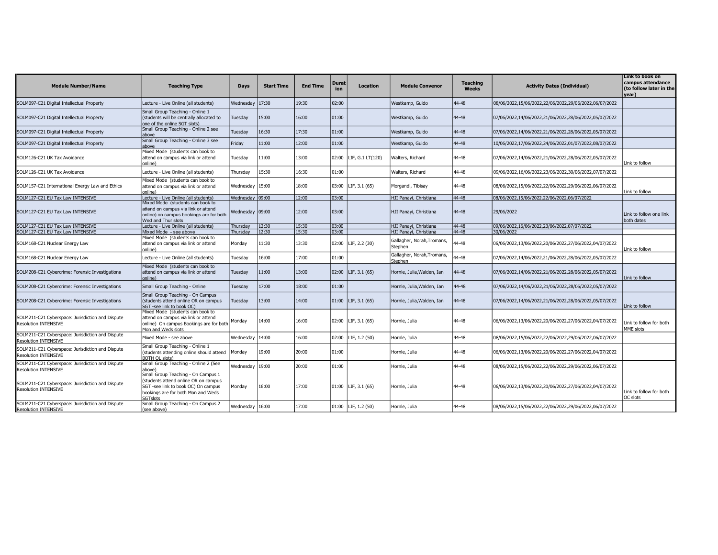| <b>Module Number/Name</b>                                                       | <b>Teaching Type</b>                                                                                                                                                      | Days              | <b>Start Time</b> | <b>End Time</b> | <b>Durat</b><br>ion | <b>Location</b>       | <b>Module Convenor</b>                | <b>Teaching</b><br><b>Weeks</b> | <b>Activity Dates (Individual)</b>                     | Link to book on<br>campus attendance<br>(to follow later in the<br>vear) |
|---------------------------------------------------------------------------------|---------------------------------------------------------------------------------------------------------------------------------------------------------------------------|-------------------|-------------------|-----------------|---------------------|-----------------------|---------------------------------------|---------------------------------|--------------------------------------------------------|--------------------------------------------------------------------------|
| SOLM097-C21 Digital Intellectual Property                                       | Lecture - Live Online (all students)                                                                                                                                      | Wednesday         | 17:30             | 19:30           | 02:00               |                       | Westkamp, Guido                       | 44-48                           | 08/06/2022,15/06/2022,22/06/2022,29/06/2022,06/07/2022 |                                                                          |
| SOLM097-C21 Digital Intellectual Property                                       | Small Group Teaching - Online 1<br>(students will be centrally allocated to<br>one of the online SGT slots)                                                               | Tuesday           | 15:00             | 16:00           | 01:00               |                       | Westkamp, Guido                       | 44-48                           | 07/06/2022,14/06/2022,21/06/2022,28/06/2022,05/07/2022 |                                                                          |
| SOLM097-C21 Digital Intellectual Property                                       | Small Group Teaching - Online 2 see<br>above                                                                                                                              | Tuesdav           | 16:30             | 17:30           | 01:00               |                       | Westkamp, Guido                       | 44-48                           | 07/06/2022,14/06/2022,21/06/2022,28/06/2022,05/07/2022 |                                                                          |
| SOLM097-C21 Digital Intellectual Property                                       | Small Group Teaching - Online 3 see<br>above                                                                                                                              | Fridav            | 11:00             | 12:00           | 01:00               |                       | Westkamp, Guido                       | 44-48                           | 10/06/2022,17/06/2022,24/06/2022,01/07/2022,08/07/2022 |                                                                          |
| SOLM126-C21 UK Tax Avoidance                                                    | Mixed Mode (students can book to<br>attend on campus via link or attend<br>online)                                                                                        | Tuesday           | 11:00             | 13:00           | 02:00               | LIF, G.1 LT(120)      | Walters, Richard                      | 44-48                           | 07/06/2022,14/06/2022,21/06/2022,28/06/2022,05/07/2022 | Link to follow                                                           |
| SOLM126-C21 UK Tax Avoidance                                                    | Lecture - Live Online (all students)                                                                                                                                      | Thursday          | 15:30             | 16:30           | 01:00               |                       | Walters, Richard                      | 44-48                           | 09/06/2022,16/06/2022,23/06/2022,30/06/2022,07/07/2022 |                                                                          |
| SOLM157-C21 International Energy Law and Ethics                                 | Mixed Mode (students can book to<br>attend on campus via link or attend<br>online)                                                                                        | Wednesday 15:00   |                   | 18:00           | 03:00               | LIF, 3.1 (65)         | Morgandi, Tibisay                     | 44-48                           | 08/06/2022,15/06/2022,22/06/2022,29/06/2022,06/07/2022 | Link to follow                                                           |
| SOLM127-C21 EU Tax Law INTENSIVE                                                | Lecture - Live Online (all students)                                                                                                                                      | Wednesday 09:00   |                   | 12:00           | 03:00               |                       | HJI Panayi, Christiana                | 44-48                           | 08/06/2022,15/06/2022,22/06/2022,06/07/2022            |                                                                          |
| SOLM127-C21 EU Tax Law INTENSIVE                                                | Mixed Mode (students can book to<br>attend on campus via link or attend<br>online) on campus bookings are for both<br>Wed and Thur slots                                  | Wednesday   09:00 |                   | 12:00           | 03:00               |                       | HJI Panayi, Christiana                | 44-48                           | 29/06/2022                                             | Link to follow one link<br>both dates                                    |
| SOLM127-C21 EU Tax Law INTENSIVE                                                | Lecture - Live Online (all students)                                                                                                                                      | Thursday          | 12:30             | 15:30           | 03:00               |                       | HJI Panayi, Christiana                | 44-48                           | 09/06/2022,16/06/2022,23/06/2022,07/07/2022            |                                                                          |
| SOLM127-C21 EU Tax Law INTENSIVE                                                | Mixed Mode - see above                                                                                                                                                    | Thursdav          | 12:30             | 15:30           | 03:00               |                       | HJI Panayi, Christiana                | 44-48                           | 30/06/2022                                             |                                                                          |
| SOLM168-C21 Nuclear Energy Law                                                  | Mixed Mode (students can book to<br>attend on campus via link or attend<br>online)                                                                                        | Monday            | 11:30             | 13:30           | 02:00               | LIF, 2.2 (30)         | Gallagher, Norah, Tromans,<br>Stephen | 44-48                           | 06/06/2022,13/06/2022,20/06/2022,27/06/2022,04/07/2022 | Link to follow                                                           |
| SOLM168-C21 Nuclear Energy Law                                                  | Lecture - Live Online (all students)                                                                                                                                      | Tuesday           | 16:00             | 17:00           | 01:00               |                       | Gallagher, Norah, Tromans,<br>Stephen | 14-48                           | 07/06/2022,14/06/2022,21/06/2022,28/06/2022,05/07/2022 |                                                                          |
| SOLM208-C21 Cybercrime: Forensic Investigations                                 | Mixed Mode (students can book to<br>attend on campus via link or attend<br>online)                                                                                        | Tuesday           | 11:00             | 13:00           | 02:00               | LIF, 3.1 (65)         | Hornle, Julia, Walden, Ian            | 44-48                           | 07/06/2022,14/06/2022,21/06/2022,28/06/2022,05/07/2022 | Link to follow                                                           |
| SOLM208-C21 Cybercrime: Forensic Investigations                                 | Small Group Teaching - Online                                                                                                                                             | Tuesday           | 17:00             | 18:00           | 01:00               |                       | Hornle, Julia, Walden, Ian            | 44-48                           | 07/06/2022,14/06/2022,21/06/2022,28/06/2022,05/07/2022 |                                                                          |
| SOLM208-C21 Cybercrime: Forensic Investigations                                 | Small Group Teaching - On Campus<br>(students attend online OR on campus<br>SGT -see link to book OC)                                                                     | Tuesday           | 13:00             | 14:00           |                     | $01:00$ LIF, 3.1 (65) | Hornle, Julia, Walden, Ian            | 44-48                           | 07/06/2022,14/06/2022,21/06/2022,28/06/2022,05/07/2022 | Link to follow                                                           |
| SOLM211-C21 Cyberspace: Jurisdiction and Dispute<br><b>Resolution INTENSIVE</b> | Mixed Mode (students can book to<br>attend on campus via link or attend<br>online) On campus Bookings are for both<br>Mon and Weds slots                                  | Monday            | 14:00             | 16:00           | 02:00               | LIF, 3.1 (65)         | Hornle, Julia                         | 44-48                           | 06/06/2022,13/06/2022,20/06/2022,27/06/2022,04/07/2022 | Link to follow for both<br>MME slots                                     |
| SOLM211-C21 Cyberspace: Jurisdiction and Dispute<br><b>Resolution INTENSIVE</b> | Mixed Mode - see above                                                                                                                                                    | Wednesday         | 14:00             | 16:00           | 02:00               | LIF, 1.2 (50)         | Hornle, Julia                         | 44-48                           | 08/06/2022,15/06/2022,22/06/2022,29/06/2022,06/07/2022 |                                                                          |
| SOLM211-C21 Cyberspace: Jurisdiction and Dispute<br><b>Resolution INTENSIVE</b> | Small Group Teaching - Online 1<br>(students attending online should attend<br>3OTH OL slots)                                                                             | Mondav            | 19:00             | 20:00           | 01:00               |                       | Hornle, Julia                         | 44-48                           | 06/06/2022,13/06/2022,20/06/2022,27/06/2022,04/07/2022 |                                                                          |
| SOLM211-C21 Cyberspace: Jurisdiction and Dispute<br><b>Resolution INTENSIVE</b> | Small Group Teaching - Online 2 (See<br>above)                                                                                                                            | Wednesday         | 19:00             | 20:00           | 01:00               |                       | Hornle, Julia                         | 44-48                           | 08/06/2022,15/06/2022,22/06/2022,29/06/2022,06/07/2022 |                                                                          |
| SOLM211-C21 Cyberspace: Jurisdiction and Dispute<br><b>Resolution INTENSIVE</b> | Small Group Teaching - On Campus 1<br>students attend online OR on campus<br>SGT -see link to book OC) On campus<br>bookings are for both Mon and Weds<br><b>SGTslots</b> | Monday            | 16:00             | 17:00           |                     | $01:00$ LIF, 3.1 (65) | Hornle, Julia                         | 44-48                           | 06/06/2022,13/06/2022,20/06/2022,27/06/2022,04/07/2022 | Link to follow for both<br>OC slots                                      |
| SOLM211-C21 Cyberspace: Jurisdiction and Dispute<br>Resolution INTENSIVE        | Small Group Teaching - On Campus 2<br>(see above)                                                                                                                         | Wednesday   16:00 |                   | 17:00           |                     | $01:00$ LIF, 1.2 (50) | Hornle, Julia                         | 44-48                           | 08/06/2022,15/06/2022,22/06/2022,29/06/2022,06/07/2022 |                                                                          |